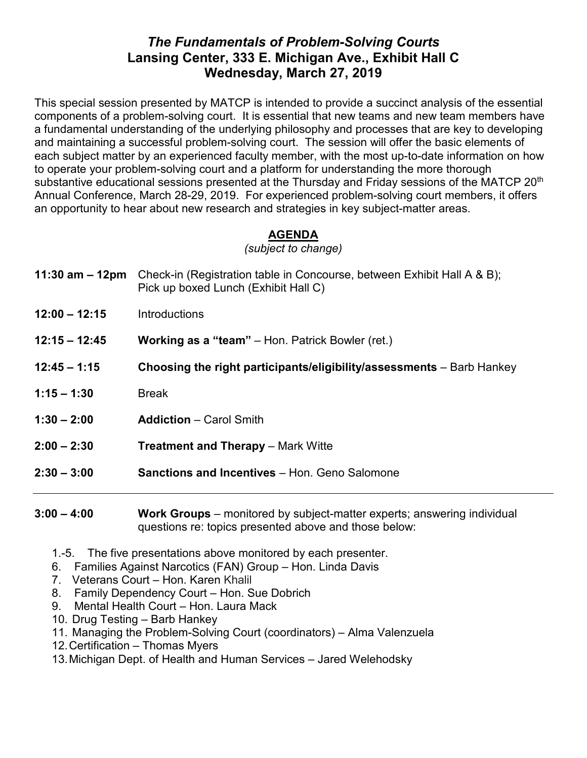## *The Fundamentals of Problem-Solving Courts* **Lansing Center, 333 E. Michigan Ave., Exhibit Hall C Wednesday, March 27, 2019**

This special session presented by MATCP is intended to provide a succinct analysis of the essential components of a problem-solving court. It is essential that new teams and new team members have a fundamental understanding of the underlying philosophy and processes that are key to developing and maintaining a successful problem-solving court. The session will offer the basic elements of each subject matter by an experienced faculty member, with the most up-to-date information on how to operate your problem-solving court and a platform for understanding the more thorough substantive educational sessions presented at the Thursday and Friday sessions of the MATCP 20<sup>th</sup> Annual Conference, March 28-29, 2019. For experienced problem-solving court members, it offers an opportunity to hear about new research and strategies in key subject-matter areas.

## **AGENDA**

*(subject to change)*

- **11:30 am – 12pm** Check-in (Registration table in Concourse, between Exhibit Hall A & B); Pick up boxed Lunch (Exhibit Hall C)
- **12:00 – 12:15** Introductions
- **12:15 – 12:45 Working as a "team"** Hon. Patrick Bowler (ret.)
- **12:45 – 1:15 Choosing the right participants/eligibility/assessments** Barb Hankey
- **1:15 – 1:30** Break
- **1:30 – 2:00 Addiction** Carol Smith
- **2:00 – 2:30 Treatment and Therapy** Mark Witte
- **2:30 – 3:00 Sanctions and Incentives** Hon. Geno Salomone

**3:00 – 4:00 Work Groups** – monitored by subject-matter experts; answering individual questions re: topics presented above and those below:

- 1.-5. The five presentations above monitored by each presenter.
- 6. Families Against Narcotics (FAN) Group Hon. Linda Davis
- 7. Veterans Court Hon. Karen Khalil
- 8. Family Dependency Court Hon. Sue Dobrich
- 9. Mental Health Court Hon. Laura Mack
- 10. Drug Testing Barb Hankey
- 11. Managing the Problem-Solving Court (coordinators) Alma Valenzuela
- 12.Certification Thomas Myers
- 13.Michigan Dept. of Health and Human Services Jared Welehodsky